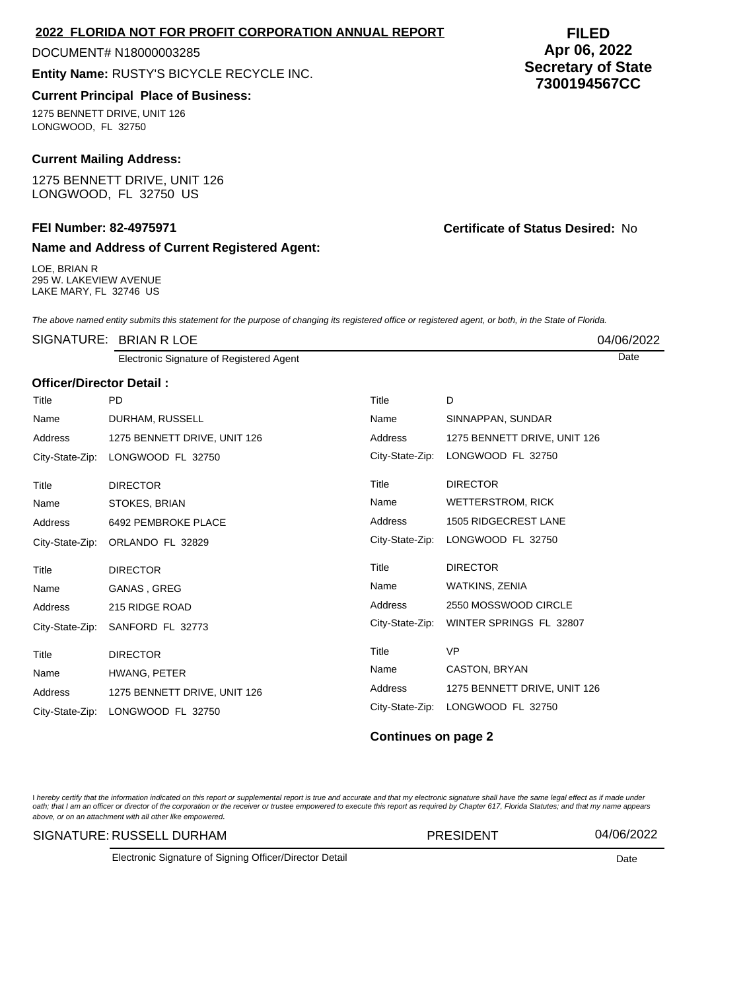| Name and Address of Current Registered Agent: |
|-----------------------------------------------|
| ---------                                     |

LOE, BRIAN R 295 W. LAKEVIEW AVENUE LAKE MARY, FL 32746 US

The above named entity submits this statement for the purpose of changing its registered office or registered agent, or both, in the State of Florida.

|                          | SIGNATURE: BRIAN R LOE                   |                 |                              | 04/06/2022 |  |  |  |
|--------------------------|------------------------------------------|-----------------|------------------------------|------------|--|--|--|
|                          | Electronic Signature of Registered Agent |                 |                              | Date       |  |  |  |
| Officer/Director Detail: |                                          |                 |                              |            |  |  |  |
| Title                    | <b>PD</b>                                | Title           | D                            |            |  |  |  |
| Name                     | DURHAM, RUSSELL                          | Name            | SINNAPPAN, SUNDAR            |            |  |  |  |
| Address                  | 1275 BENNETT DRIVE, UNIT 126             | Address         | 1275 BENNETT DRIVE, UNIT 126 |            |  |  |  |
|                          | City-State-Zip: LONGWOOD FL 32750        | City-State-Zip: | LONGWOOD FL 32750            |            |  |  |  |
| Title                    | <b>DIRECTOR</b>                          | Title           | <b>DIRECTOR</b>              |            |  |  |  |
| Name                     | STOKES, BRIAN                            | Name            | <b>WETTERSTROM, RICK</b>     |            |  |  |  |
| Address                  | 6492 PEMBROKE PLACE                      | <b>Address</b>  | <b>1505 RIDGECREST LANE</b>  |            |  |  |  |
|                          | City-State-Zip: ORLANDO FL 32829         | City-State-Zip: | LONGWOOD FL 32750            |            |  |  |  |
| Title                    | <b>DIRECTOR</b>                          | Title           | <b>DIRECTOR</b>              |            |  |  |  |
| Name                     | GANAS, GREG                              | Name            | WATKINS, ZENIA               |            |  |  |  |
| Address                  | 215 RIDGE ROAD                           | Address         | 2550 MOSSWOOD CIRCLE         |            |  |  |  |
| City-State-Zip:          | SANFORD FL 32773                         | City-State-Zip: | WINTER SPRINGS FL 32807      |            |  |  |  |
| Title                    | <b>DIRECTOR</b>                          | Title           | <b>VP</b>                    |            |  |  |  |
| Name                     | HWANG, PETER                             | Name            | CASTON, BRYAN                |            |  |  |  |
| Address                  | 1275 BENNETT DRIVE, UNIT 126             | Address         | 1275 BENNETT DRIVE, UNIT 126 |            |  |  |  |
| City-State-Zip:          | LONGWOOD FL 32750                        | City-State-Zip: | LONGWOOD FL 32750            |            |  |  |  |

## **Continues on page 2**

l hereby certify that the information indicated on this report or supplemental report is true and accurate and that my electronic signature shall have the same legal effect as if made under<br>oath; that I am an officer or di above, or on an attachment with all other like empowered.

SIGNATURE: RUSSELL DURHAM PRESIDENT 04/06/2022

Electronic Signature of Signing Officer/Director Detail **Date Date** Date **Date Date** 

# **2022 FLORIDA NOT FOR PROFIT CORPORATION ANNUAL REPORT**

### DOCUMENT# N18000003285

**Entity Name:** RUSTY'S BICYCLE RECYCLE INC.

#### **Current Principal Place of Business:**

1275 BENNETT DRIVE, UNIT 126 LONGWOOD, FL 32750

#### **Current Mailing Address:**

1275 BENNETT DRIVE, UNIT 126 LONGWOOD, FL 32750 US

## **FEI Number: 82-4975971 Certificate of Status Desired:** No

**FILED Apr 06, 2022 Secretary of State 7300194567CC**